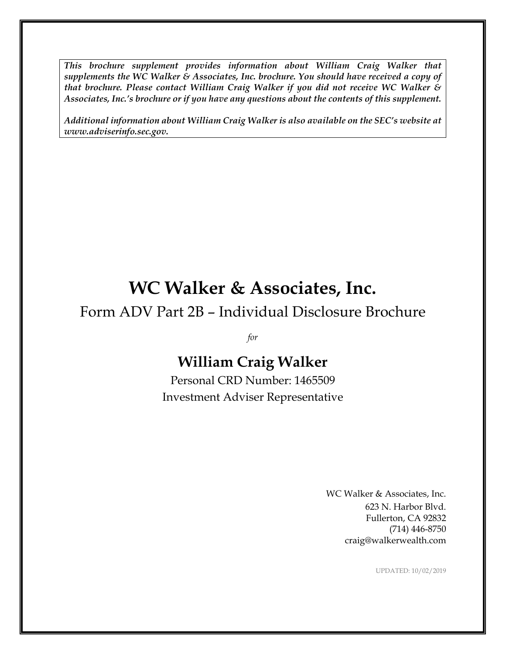*This brochure supplement provides information about William Craig Walker that supplements the WC Walker & Associates, Inc. brochure. You should have received a copy of that brochure. Please contact William Craig Walker if you did not receive WC Walker & Associates, Inc.'s brochure or if you have any questions about the contents of this supplement.*

*Additional information about William Craig Walker is also available on the SEC's website at www.adviserinfo.sec.gov.*

# **WC Walker & Associates, Inc.**

# Form ADV Part 2B – Individual Disclosure Brochure

*for*

# **William Craig Walker**

Personal CRD Number: 1465509 Investment Adviser Representative

> WC Walker & Associates, Inc. 623 N. Harbor Blvd. Fullerton, CA 92832 (714) 446-8750 craig@walkerwealth.com

> > UPDATED: 10/02/2019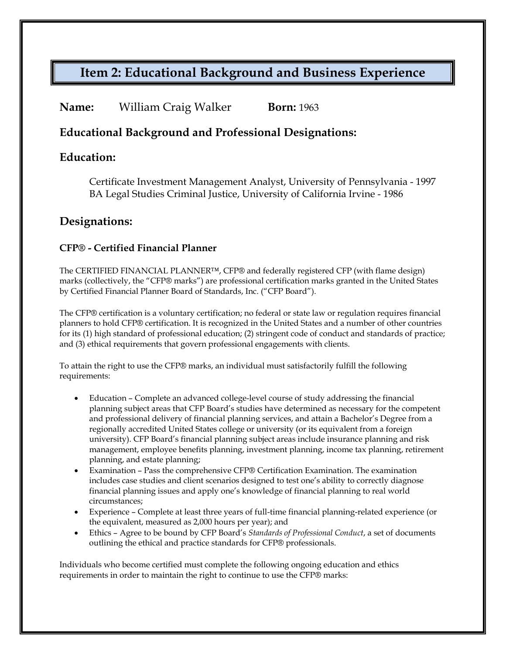## **Item 2: Educational Background and Business Experience**

#### **Name:** William Craig Walker **Born:** 1963

#### **Educational Background and Professional Designations:**

#### **Education:**

Certificate Investment Management Analyst, University of Pennsylvania - 1997 BA Legal Studies Criminal Justice, University of California Irvine - 1986

#### **Designations:**

#### **CFP® - Certified Financial Planner**

The CERTIFIED FINANCIAL PLANNER™, CFP® and federally registered CFP (with flame design) marks (collectively, the "CFP® marks") are professional certification marks granted in the United States by Certified Financial Planner Board of Standards, Inc. ("CFP Board").

The CFP® certification is a voluntary certification; no federal or state law or regulation requires financial planners to hold CFP® certification. It is recognized in the United States and a number of other countries for its (1) high standard of professional education; (2) stringent code of conduct and standards of practice; and (3) ethical requirements that govern professional engagements with clients.

To attain the right to use the CFP® marks, an individual must satisfactorily fulfill the following requirements:

- Education Complete an advanced college-level course of study addressing the financial planning subject areas that CFP Board's studies have determined as necessary for the competent and professional delivery of financial planning services, and attain a Bachelor's Degree from a regionally accredited United States college or university (or its equivalent from a foreign university). CFP Board's financial planning subject areas include insurance planning and risk management, employee benefits planning, investment planning, income tax planning, retirement planning, and estate planning;
- Examination Pass the comprehensive CFP® Certification Examination. The examination includes case studies and client scenarios designed to test one's ability to correctly diagnose financial planning issues and apply one's knowledge of financial planning to real world circumstances;
- Experience Complete at least three years of full-time financial planning-related experience (or the equivalent, measured as 2,000 hours per year); and
- Ethics Agree to be bound by CFP Board's *Standards of Professional Conduct*, a set of documents outlining the ethical and practice standards for CFP® professionals.

Individuals who become certified must complete the following ongoing education and ethics requirements in order to maintain the right to continue to use the CFP® marks: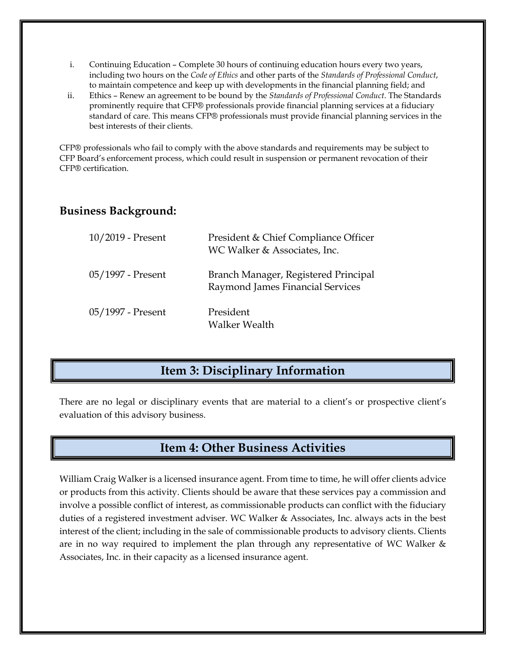- i. Continuing Education Complete 30 hours of continuing education hours every two years, including two hours on the *Code of Ethics* and other parts of the *Standards of Professional Conduct*, to maintain competence and keep up with developments in the financial planning field; and
- ii. Ethics Renew an agreement to be bound by the *Standards of Professional Conduct*. The Standards prominently require that CFP® professionals provide financial planning services at a fiduciary standard of care. This means CFP® professionals must provide financial planning services in the best interests of their clients.

CFP® professionals who fail to comply with the above standards and requirements may be subject to CFP Board's enforcement process, which could result in suspension or permanent revocation of their CFP® certification.

#### **Business Background:**

| $10/2019$ - Present | President & Chief Compliance Officer<br>WC Walker & Associates, Inc.     |
|---------------------|--------------------------------------------------------------------------|
| 05/1997 - Present   | Branch Manager, Registered Principal<br>Raymond James Financial Services |
| 05/1997 - Present   | President<br><b>Walker Wealth</b>                                        |

### **Item 3: Disciplinary Information**

There are no legal or disciplinary events that are material to a client's or prospective client's evaluation of this advisory business.

### **Item 4: Other Business Activities**

William Craig Walker is a licensed insurance agent. From time to time, he will offer clients advice or products from this activity. Clients should be aware that these services pay a commission and involve a possible conflict of interest, as commissionable products can conflict with the fiduciary duties of a registered investment adviser. WC Walker & Associates, Inc. always acts in the best interest of the client; including in the sale of commissionable products to advisory clients. Clients are in no way required to implement the plan through any representative of WC Walker & Associates, Inc. in their capacity as a licensed insurance agent.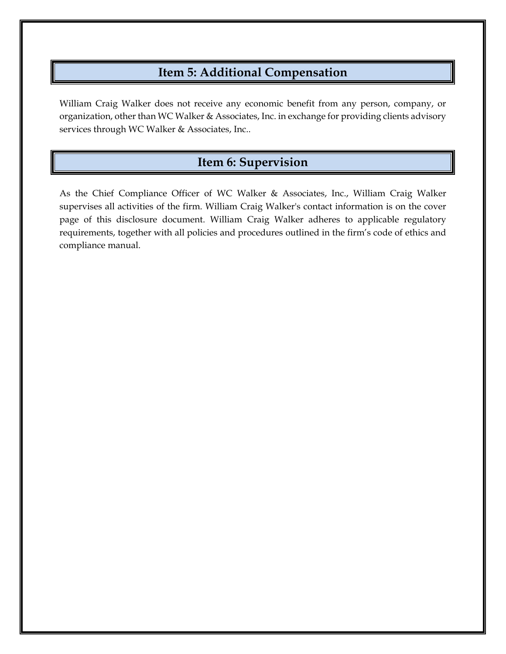## **Item 5: Additional Compensation**

William Craig Walker does not receive any economic benefit from any person, company, or organization, other than WC Walker & Associates, Inc. in exchange for providing clients advisory services through WC Walker & Associates, Inc..

## **Item 6: Supervision**

As the Chief Compliance Officer of WC Walker & Associates, Inc., William Craig Walker supervises all activities of the firm. William Craig Walker's contact information is on the cover page of this disclosure document. William Craig Walker adheres to applicable regulatory requirements, together with all policies and procedures outlined in the firm's code of ethics and compliance manual.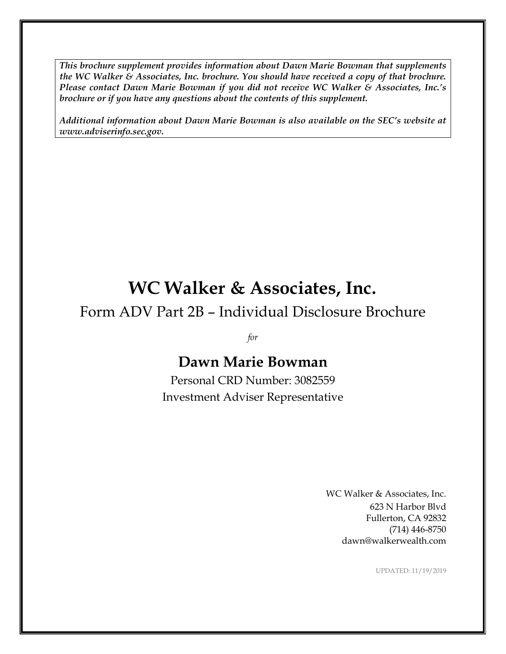*This brochure supplement provides information about Dawn Marie Bowman that supplements the WC Walker & Associates, Inc. brochure. You should have received a copy of that brochure. Please contact Dawn Marie Bowman if you did not receive WC Walker & Associates, Inc.'s brochure or if you have any questions about the contents of this supplement.*

*Additional information about Dawn Marie Bowman is also available on the SEC's website at www.adviserinfo.sec.gov.*

# **WC Walker & Associates, Inc.**

Form ADV Part 2B – Individual Disclosure Brochure

*for*

# **Dawn Marie Bowman**

Personal CRD Number: 3082559 Investment Adviser Representative

> WC Walker & Associates, Inc. 623 N Harbor Blvd Fullerton, CA 92832 (714) 446-8750 dawn@walkerwealth.com

> > UPDATED: 11/19/2019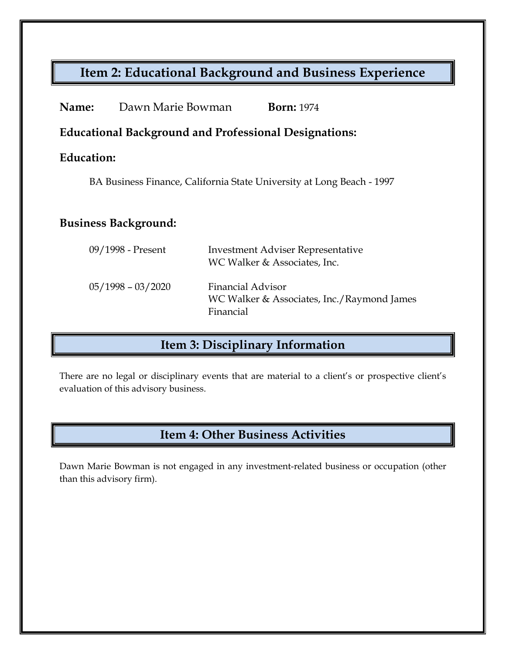## **Item 2: Educational Background and Business Experience**

| Name:                                                                 | Dawn Marie Bowman   | <b>Born:</b> 1974                                                                   |  |
|-----------------------------------------------------------------------|---------------------|-------------------------------------------------------------------------------------|--|
| <b>Educational Background and Professional Designations:</b>          |                     |                                                                                     |  |
| Education:                                                            |                     |                                                                                     |  |
| BA Business Finance, California State University at Long Beach - 1997 |                     |                                                                                     |  |
|                                                                       |                     |                                                                                     |  |
| <b>Business Background:</b>                                           |                     |                                                                                     |  |
|                                                                       | 09/1998 - Present   | <b>Investment Adviser Representative</b><br>WC Walker & Associates, Inc.            |  |
|                                                                       | $05/1998 - 03/2020$ | <b>Financial Advisor</b><br>WC Walker & Associates, Inc./Raymond James<br>Financial |  |

# **Item 3: Disciplinary Information**

There are no legal or disciplinary events that are material to a client's or prospective client's evaluation of this advisory business.

## **Item 4: Other Business Activities**

Dawn Marie Bowman is not engaged in any investment-related business or occupation (other than this advisory firm).